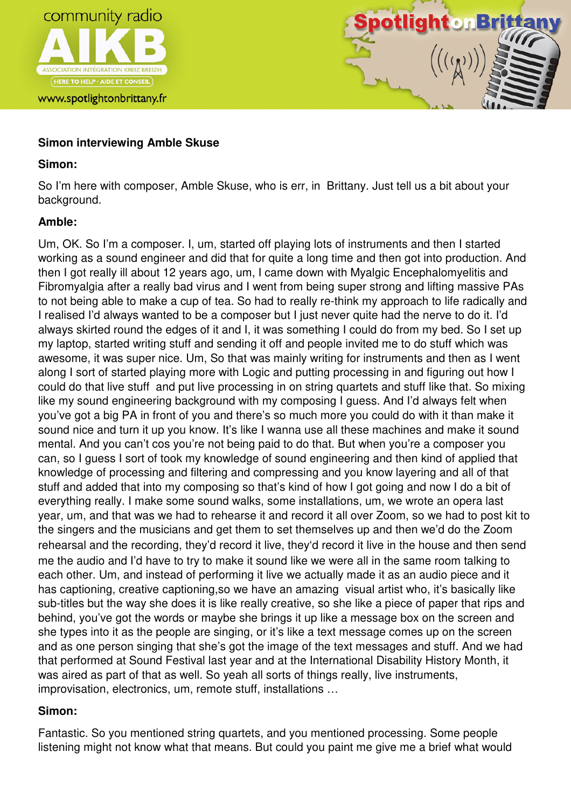

www.spotlightonbrittany.fr



# **Simon interviewing Amble Skuse**

## **Simon:**

So I'm here with composer, Amble Skuse, who is err, in Brittany. Just tell us a bit about your background.

## **Amble:**

Um, OK. So I'm a composer. I, um, started off playing lots of instruments and then I started working as a sound engineer and did that for quite a long time and then got into production. And then I got really ill about 12 years ago, um, I came down with Myalgic Encephalomyelitis and Fibromyalgia after a really bad virus and I went from being super strong and lifting massive PAs to not being able to make a cup of tea. So had to really re-think my approach to life radically and I realised I'd always wanted to be a composer but I just never quite had the nerve to do it. I'd always skirted round the edges of it and I, it was something I could do from my bed. So I set up my laptop, started writing stuff and sending it off and people invited me to do stuff which was awesome, it was super nice. Um, So that was mainly writing for instruments and then as I went along I sort of started playing more with Logic and putting processing in and figuring out how I could do that live stuff and put live processing in on string quartets and stuff like that. So mixing like my sound engineering background with my composing I guess. And I'd always felt when you've got a big PA in front of you and there's so much more you could do with it than make it sound nice and turn it up you know. It's like I wanna use all these machines and make it sound mental. And you can't cos you're not being paid to do that. But when you're a composer you can, so I guess I sort of took my knowledge of sound engineering and then kind of applied that knowledge of processing and filtering and compressing and you know layering and all of that stuff and added that into my composing so that's kind of how I got going and now I do a bit of everything really. I make some sound walks, some installations, um, we wrote an opera last year, um, and that was we had to rehearse it and record it all over Zoom, so we had to post kit to the singers and the musicians and get them to set themselves up and then we'd do the Zoom rehearsal and the recording, they'd record it live, they'd record it live in the house and then send me the audio and I'd have to try to make it sound like we were all in the same room talking to each other. Um, and instead of performing it live we actually made it as an audio piece and it has captioning, creative captioning,so we have an amazing visual artist who, it's basically like sub-titles but the way she does it is like really creative, so she like a piece of paper that rips and behind, you've got the words or maybe she brings it up like a message box on the screen and she types into it as the people are singing, or it's like a text message comes up on the screen and as one person singing that she's got the image of the text messages and stuff. And we had that performed at Sound Festival last year and at the International Disability History Month, it was aired as part of that as well. So yeah all sorts of things really, live instruments, improvisation, electronics, um, remote stuff, installations …

## **Simon:**

Fantastic. So you mentioned string quartets, and you mentioned processing. Some people listening might not know what that means. But could you paint me give me a brief what would